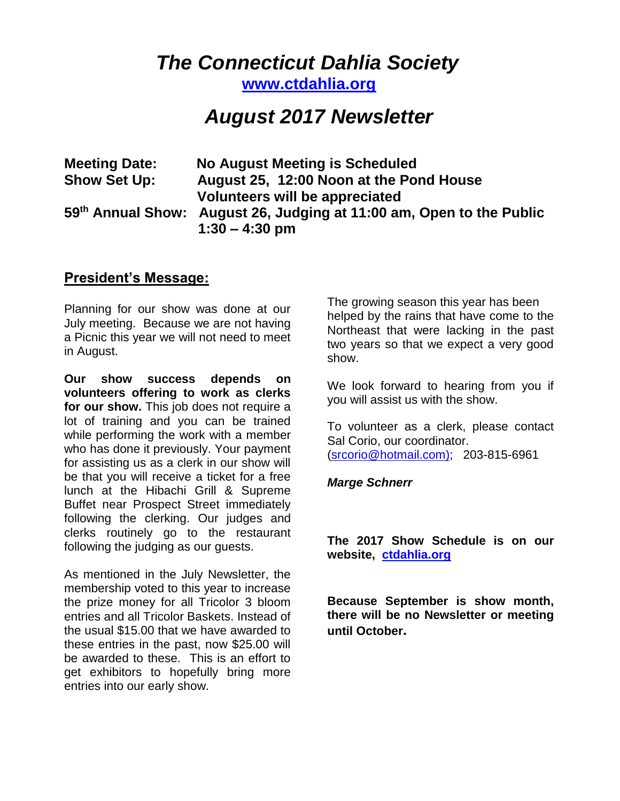# *The Connecticut Dahlia Society*

**[www.ctdahlia.org](http://www.ctdahlia.org/)**

# *August 2017 Newsletter*

| <b>Meeting Date:</b> | No August Meeting is Scheduled                                                                       |
|----------------------|------------------------------------------------------------------------------------------------------|
| <b>Show Set Up:</b>  | August 25, 12:00 Noon at the Pond House                                                              |
|                      | Volunteers will be appreciated                                                                       |
|                      | 59 <sup>th</sup> Annual Show: August 26, Judging at 11:00 am, Open to the Public<br>$1:30 - 4:30$ pm |

### **President's Message:**

Planning for our show was done at our July meeting. Because we are not having a Picnic this year we will not need to meet in August.

**Our show success depends on volunteers offering to work as clerks for our show.** This job does not require a lot of training and you can be trained while performing the work with a member who has done it previously. Your payment for assisting us as a clerk in our show will be that you will receive a ticket for a free lunch at the Hibachi Grill & Supreme Buffet near Prospect Street immediately following the clerking. Our judges and clerks routinely go to the restaurant following the judging as our guests.

As mentioned in the July Newsletter, the membership voted to this year to increase the prize money for all Tricolor 3 bloom entries and all Tricolor Baskets. Instead of the usual \$15.00 that we have awarded to these entries in the past, now \$25.00 will be awarded to these. This is an effort to get exhibitors to hopefully bring more entries into our early show.

The growing season this year has been helped by the rains that have come to the Northeast that were lacking in the past two years so that we expect a very good show.

We look forward to hearing from you if you will assist us with the show.

To volunteer as a clerk, please contact Sal Corio, our coordinator. [\(srcorio@hotmail.com\)](http://srcorio@hotmail.com/); 203-815-6961

#### *Marge Schnerr*

**The 2017 Show Schedule is on our website, [ctdahlia.org](http://www.ctdahlia.org/)**

**Because September is show month, there will be no Newsletter or meeting until October.**